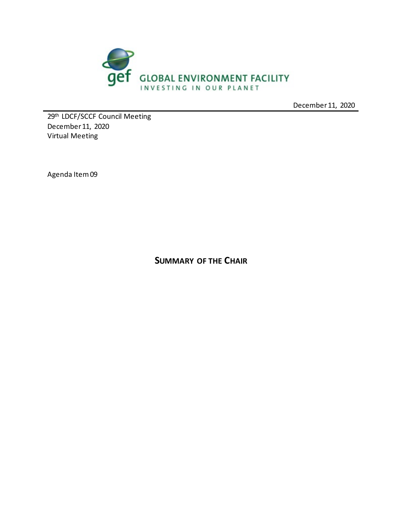

December 11, 2020

29th LDCF/SCCF Council Meeting December 11, 2020 Virtual Meeting

Agenda Item 09

**SUMMARY OF THE CHAIR**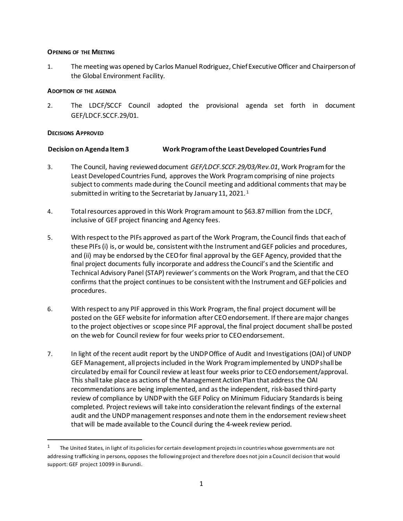#### **OPENING OF THE MEETING**

1. The meeting was opened by Carlos Manuel Rodriguez, Chief Executive Officer and Chairperson of the Global Environment Facility.

#### **ADOPTION OF THE AGENDA**

2. The LDCF/SCCF Council adopted the provisional agenda set forth in document GEF/LDCF.SCCF.29/01.

#### **DECISIONS APPROVED**

#### **Decision on Agenda Item 3 Work Program of the Least Developed Countries Fund**

- 3. The Council, having reviewed document *GEF/LDCF.SCCF.29/03/Rev.01*, Work Program for the Least Developed Countries Fund, approves the Work Program comprising of nine projects subject to comments made during the Council meeting and additional comments that may be submitted in writing to the Secretariat by January [1](#page-1-0)1, 2021.<sup>1</sup>
- 4. Total resources approved in this Work Program amount to \$63.87 million from the LDCF, inclusive of GEF project financing and Agency fees.
- 5. With respect to the PIFs approved as part of the Work Program, the Council finds that each of these PIFs (i) is, or would be, consistent with the Instrument and GEF policies and procedures, and (ii) may be endorsed by the CEO for final approval by the GEF Agency, provided that the final project documents fully incorporate and address the Council's and the Scientific and Technical Advisory Panel (STAP) reviewer's comments on the Work Program, and that the CEO confirms that the project continues to be consistent with the Instrument and GEF policies and procedures.
- 6. With respect to any PIF approved in this Work Program, the final project document will be posted on the GEF website for information after CEO endorsement. If there are major changes to the project objectives or scope since PIF approval, the final project document shall be posted on the web for Council review for four weeks prior to CEO endorsement.
- 7. In light of the recent audit report by the UNDP Office of Audit and Investigations (OAI) of UNDP GEF Management, all projects included in the Work Program implemented by UNDP shall be circulated by email for Council review at least four weeks prior to CEO endorsement/approval. This shall take place as actions of the Management Action Plan that address the OAI recommendations are being implemented, and as the independent, risk-based third-party review of compliance by UNDP with the GEF Policy on Minimum Fiduciary Standards is being completed. Project reviews will take into consideration the relevant findings of the external audit and the UNDP management responses and note them in the endorsement review sheet that will be made available to the Council during the 4-week review period.

<span id="page-1-0"></span><sup>&</sup>lt;sup>1</sup> The United States, in light of its policies for certain development projects in countries whose governments are not addressing trafficking in persons, opposes the following project and therefore does not join a Council decision that would support: GEF project 10099 in Burundi.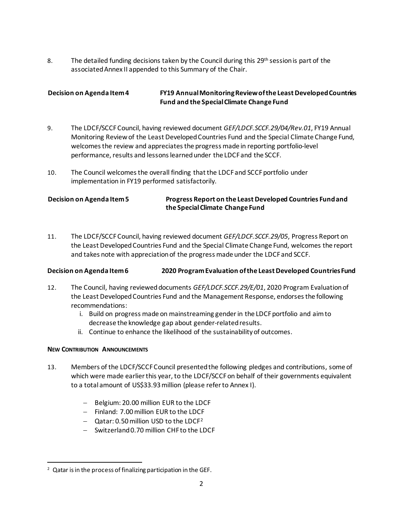8. The detailed funding decisions taken by the Council during this 29<sup>th</sup> session is part of the associated Annex II appended to this Summary of the Chair.

### **Decision on Agenda Item 4 FY19 Annual Monitoring Review of the Least Developed Countries Fund and the Special Climate Change Fund**

- 9. The LDCF/SCCF Council, having reviewed document *GEF/LDCF.SCCF.29/04/Rev.01*, FY19 Annual Monitoring Review of the Least Developed Countries Fund and the Special Climate Change Fund, welcomes the review and appreciates the progress made in reporting portfolio-level performance, results and lessons learned under the LDCF and the SCCF.
- 10. The Council welcomes the overall finding that the LDCF and SCCF portfolio under implementation in FY19 performed satisfactorily.

## **Decision on Agenda Item 5 Progress Report on the Least Developed Countries Fund and the Special Climate Change Fund**

11. The LDCF/SCCF Council, having reviewed document *GEF/LDCF.SCCF.29/05*, Progress Report on the Least Developed Countries Fund and the Special Climate Change Fund, welcomes the report and takes note with appreciation of the progress made under the LDCF and SCCF.

### **Decision on Agenda Item 6 2020 Program Evaluation of the Least Developed Countries Fund**

- 12. The Council, having reviewed documents *GEF/LDCF.SCCF.29/E/01*, 2020 Program Evaluation of the Least Developed Countries Fund and the Management Response, endorses the following recommendations:
	- i. Build on progress made on mainstreaming gender in the LDCF portfolio and aim to decrease the knowledge gap about gender-related results.
	- ii. Continue to enhance the likelihood of the sustainability of outcomes.

### **NEW CONTRIBUTION ANNOUNCEMENTS**

- 13. Members of the LDCF/SCCF Council presented the following pledges and contributions, some of which were made earlier this year, to the LDCF/SCCF on behalf of their governments equivalent to a total amount of US\$33.93million (please refer to Annex I).
	- − Belgium: 20.00 million EUR to the LDCF
	- − Finland: 7.00million EUR to the LDCF
	- − Qatar: 0.50million USD to the LDCF[2](#page-2-0)
	- − Switzerland 0.70 million CHF to the LDCF

<span id="page-2-0"></span><sup>&</sup>lt;sup>2</sup> Qatar is in the process of finalizing participation in the GEF.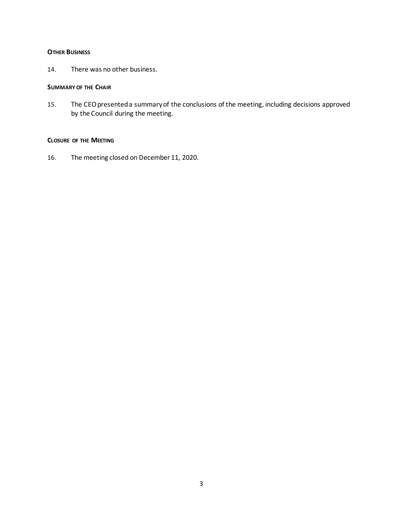#### **OTHER BUSINESS**

14. There was no other business.

#### **SUMMARY OF THE CHAIR**

15. The CEO presented a summary of the conclusions of the meeting, including decisions approved by the Council during the meeting.

#### **CLOSURE OF THE MEETING**

16. The meeting closed on December 11, 2020.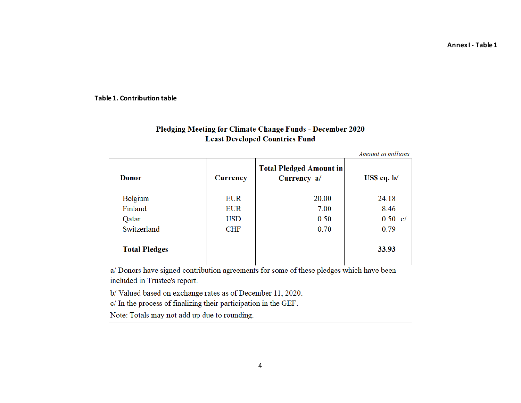**Annex I - Table 1**

#### **Table 1. Contribution table**

# Pledging Meeting for Climate Change Funds - December 2020 **Least Developed Countries Fund**

Amount in millions

| Donor                | <b>Currency</b> | <b>Total Pledged Amount in</b><br>Currency a/ | $\overline{USS}$ eq. b/ |
|----------------------|-----------------|-----------------------------------------------|-------------------------|
|                      |                 |                                               |                         |
| Belgium              | <b>EUR</b>      | 20.00                                         | 24.18                   |
| Finland              | <b>EUR</b>      | 7.00                                          | 8.46                    |
| Qatar                | <b>USD</b>      | 0.50                                          | $0.50 \text{ c}/$       |
| Switzerland          | <b>CHF</b>      | 0.70                                          | 0.79                    |
| <b>Total Pledges</b> |                 |                                               | 33.93                   |

a/ Donors have signed contribution agreements for some of these pledges which have been included in Trustee's report.

b/Valued based on exchange rates as of December 11, 2020.

c/ In the process of finalizing their participation in the GEF.

Note: Totals may not add up due to rounding.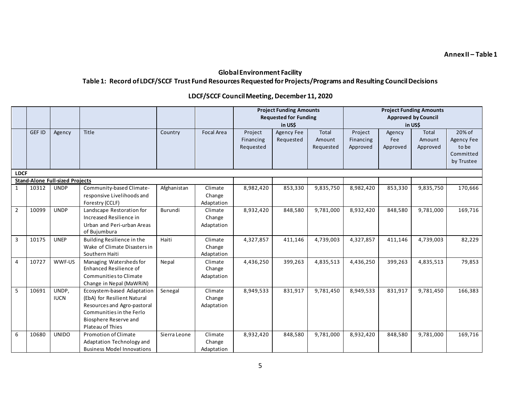**Annex II – Table 1**

# **Global Environment Facility Table 1: Record of LDCF/SCCF Trust Fund Resources Requested for Projects/Programs and Resulting Council Decisions**

# **LDCF/SCCF Council Meeting, December 11, 2020**

|                |               |                                        |                                                                                                                                                                   |              |                                 | <b>Project Funding Amounts</b><br><b>Requested for Funding</b><br>in US\$ |                         |                                     | <b>Project Funding Amounts</b><br><b>Approved by Council</b><br>in USS |                           |                             |                                                          |
|----------------|---------------|----------------------------------------|-------------------------------------------------------------------------------------------------------------------------------------------------------------------|--------------|---------------------------------|---------------------------------------------------------------------------|-------------------------|-------------------------------------|------------------------------------------------------------------------|---------------------------|-----------------------------|----------------------------------------------------------|
|                | <b>GEF ID</b> | Agency                                 | <b>Title</b>                                                                                                                                                      | Country      | <b>Focal Area</b>               | Project<br>Financing<br>Requested                                         | Agency Fee<br>Requested | <b>Total</b><br>Amount<br>Requested | Project<br>Financing<br>Approved                                       | Agency<br>Fee<br>Approved | Total<br>Amount<br>Approved | 20% of<br>Agency Fee<br>to be<br>Committed<br>by Trustee |
| <b>LDCF</b>    |               |                                        |                                                                                                                                                                   |              |                                 |                                                                           |                         |                                     |                                                                        |                           |                             |                                                          |
|                |               | <b>Stand-Alone Full-sized Projects</b> |                                                                                                                                                                   |              |                                 |                                                                           |                         |                                     |                                                                        |                           |                             |                                                          |
| 1              | 10312         | <b>UNDP</b>                            | Community-based Climate-<br>responsive Livelihoods and<br>Forestry (CCLF)                                                                                         | Afghanistan  | Climate<br>Change<br>Adaptation | 8,982,420                                                                 | 853,330                 | 9,835,750                           | 8,982,420                                                              | 853,330                   | 9,835,750                   | 170,666                                                  |
| $\overline{2}$ | 10099         | <b>UNDP</b>                            | Landscape Restoration for<br>Increased Resilience in<br>Urban and Peri-urban Areas<br>of Bujumbura                                                                | Burundi      | Climate<br>Change<br>Adaptation | 8,932,420                                                                 | 848,580                 | 9,781,000                           | 8,932,420                                                              | 848,580                   | 9,781,000                   | 169,716                                                  |
| $\overline{3}$ | 10175         | <b>UNEP</b>                            | Building Resilience in the<br>Wake of Climate Disasters in<br>Southern Haiti                                                                                      | Haiti        | Climate<br>Change<br>Adaptation | 4,327,857                                                                 | 411,146                 | 4,739,003                           | 4,327,857                                                              | 411,146                   | 4,739,003                   | 82,229                                                   |
| $\overline{4}$ | 10727         | WWF-US                                 | Managing Watersheds for<br>Enhanced Resilience of<br>Communities to Climate<br>Change in Nepal (MaWRiN)                                                           | Nepal        | Climate<br>Change<br>Adaptation | 4,436,250                                                                 | 399,263                 | 4,835,513                           | 4,436,250                                                              | 399,263                   | 4,835,513                   | 79,853                                                   |
| 5              | 10691         | UNDP,<br><b>IUCN</b>                   | Ecosystem-based Adaptation<br>(EbA) for Resilient Natural<br>Resources and Agro-pastoral<br>Communities in the Ferlo<br>Biosphere Reserve and<br>Plateau of Thies | Senegal      | Climate<br>Change<br>Adaptation | 8,949,533                                                                 | 831,917                 | 9,781,450                           | 8,949,533                                                              | 831,917                   | 9,781,450                   | 166,383                                                  |
| 6              | 10680         | <b>UNIDO</b>                           | <b>Promotion of Climate</b><br>Adaptation Technology and<br><b>Business Model Innovations</b>                                                                     | Sierra Leone | Climate<br>Change<br>Adaptation | 8,932,420                                                                 | 848,580                 | 9,781,000                           | 8,932,420                                                              | 848,580                   | 9,781,000                   | 169,716                                                  |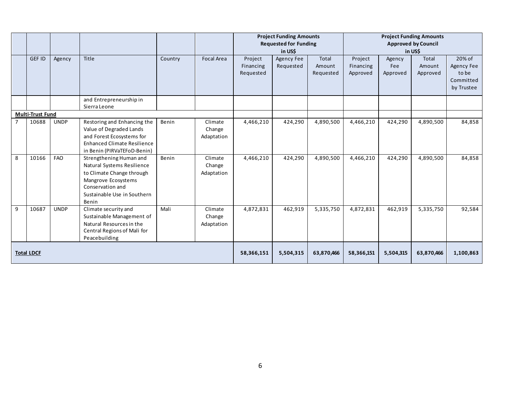|   |                         |             |                                                                                                                                                                       |         |                                 | <b>Project Funding Amounts</b><br><b>Requested for Funding</b><br>in US\$ |                         |                              | <b>Project Funding Amounts</b><br><b>Approved by Council</b><br>in USS |                           |                                    |                                                          |
|---|-------------------------|-------------|-----------------------------------------------------------------------------------------------------------------------------------------------------------------------|---------|---------------------------------|---------------------------------------------------------------------------|-------------------------|------------------------------|------------------------------------------------------------------------|---------------------------|------------------------------------|----------------------------------------------------------|
|   | <b>GEF ID</b>           | Agency      | Title                                                                                                                                                                 | Country | <b>Focal Area</b>               | Project<br>Financing<br>Requested                                         | Agency Fee<br>Requested | Total<br>Amount<br>Requested | Project<br>Financing<br>Approved                                       | Agency<br>Fee<br>Approved | <b>Total</b><br>Amount<br>Approved | 20% of<br>Agency Fee<br>to be<br>Committed<br>by Trustee |
|   |                         |             | and Entrepreneurship in<br>Sierra Leone                                                                                                                               |         |                                 |                                                                           |                         |                              |                                                                        |                           |                                    |                                                          |
|   | <b>Multi-Trust Fund</b> |             |                                                                                                                                                                       |         |                                 |                                                                           |                         |                              |                                                                        |                           |                                    |                                                          |
|   | 10688                   | <b>UNDP</b> | Restoring and Enhancing the<br>Value of Degraded Lands<br>and Forest Ecosystems for<br><b>Enhanced Climate Resilience</b><br>in Benin (PIRVaTEFoD-Benin)              | Benin   | Climate<br>Change<br>Adaptation | 4,466,210                                                                 | 424,290                 | 4,890,500                    | 4,466,210                                                              | 424,290                   | 4,890,500                          | 84,858                                                   |
| 8 | 10166                   | <b>FAO</b>  | Strengthening Human and<br>Natural Systems Resilience<br>to Climate Change through<br>Mangrove Ecosystems<br>Conservation and<br>Sustainable Use in Southern<br>Benin | Benin   | Climate<br>Change<br>Adaptation | 4,466,210                                                                 | 424,290                 | 4,890,500                    | 4,466,210                                                              | 424,290                   | 4,890,500                          | 84,858                                                   |
| 9 | 10687                   | <b>UNDP</b> | Climate security and<br>Sustainable Management of<br>Natural Resources in the<br>Central Regions of Mali for<br>Peacebuilding                                         | Mali    | Climate<br>Change<br>Adaptation | 4,872,831                                                                 | 462,919                 | 5,335,750                    | 4,872,831                                                              | 462,919                   | 5,335,750                          | 92,584                                                   |
|   | <b>Total LDCF</b>       |             |                                                                                                                                                                       |         |                                 | 58,366,151                                                                | 5,504,315               | 63,870,466                   | 58,366,151                                                             | 5,504,315                 | 63,870,466                         | 1,100,863                                                |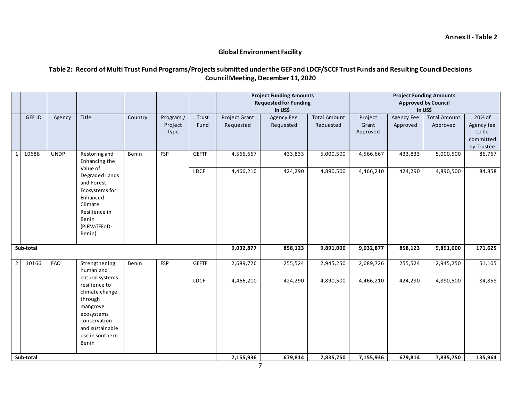### **Global Environment Facility**

# **Table 2: Record of Multi Trust Fund Programs/Projects submitted under the GEFand LDCF/SCCF Trust Funds and Resulting Council Decisions Council Meeting, December 11, 2020**

|          |               |             |                                  |         |            |              | <b>Project Funding Amounts</b> |                              |                     |                            | <b>Project Funding Amounts</b> |                     |            |  |
|----------|---------------|-------------|----------------------------------|---------|------------|--------------|--------------------------------|------------------------------|---------------------|----------------------------|--------------------------------|---------------------|------------|--|
|          |               |             |                                  |         |            |              |                                | <b>Requested for Funding</b> |                     | <b>Approved by Council</b> |                                |                     |            |  |
|          |               |             |                                  |         |            |              |                                | in US\$<br>in US\$           |                     |                            |                                |                     |            |  |
|          | <b>GEF ID</b> | Agency      | Title                            | Country | Program /  | Trust        | Project Grant                  | Agency Fee                   | <b>Total Amount</b> | Project                    | Agency Fee                     | <b>Total Amount</b> | 20% of     |  |
|          |               |             |                                  |         | Project    | Fund         | Requested                      | Requested                    | Requested           | Grant                      | Approved                       | Approved            | Agency fee |  |
|          |               |             |                                  |         | Type       |              |                                |                              |                     | Approved                   |                                |                     | to be      |  |
|          |               |             |                                  |         |            |              |                                |                              |                     |                            |                                |                     | committed  |  |
|          |               |             |                                  |         |            |              |                                |                              |                     |                            |                                |                     | by Trustee |  |
| $1\vert$ | 10688         | <b>UNDP</b> | Restoring and<br>Enhancing the   | Benin   | <b>FSP</b> | <b>GEFTF</b> | 4,566,667                      | 433,833                      | 5,000,500           | 4,566,667                  | 433,833                        | 5,000,500           | 86,767     |  |
|          |               |             | Value of                         |         |            |              |                                |                              |                     |                            |                                |                     |            |  |
|          |               |             | Degraded Lands                   |         |            | <b>LDCF</b>  | 4,466,210                      | 424,290                      | 4,890,500           | 4,466,210                  | 424,290                        | 4,890,500           | 84,858     |  |
|          |               |             | and Forest                       |         |            |              |                                |                              |                     |                            |                                |                     |            |  |
|          |               |             | Ecosystems for                   |         |            |              |                                |                              |                     |                            |                                |                     |            |  |
|          |               |             | Enhanced                         |         |            |              |                                |                              |                     |                            |                                |                     |            |  |
|          |               |             | Climate                          |         |            |              |                                |                              |                     |                            |                                |                     |            |  |
|          |               |             | Resilience in                    |         |            |              |                                |                              |                     |                            |                                |                     |            |  |
|          |               |             | Benin                            |         |            |              |                                |                              |                     |                            |                                |                     |            |  |
|          |               |             | (PIRVaTEFoD-                     |         |            |              |                                |                              |                     |                            |                                |                     |            |  |
|          |               |             | Benin)                           |         |            |              |                                |                              |                     |                            |                                |                     |            |  |
|          | Sub-total     |             |                                  |         |            |              | 9,032,877                      | 858,123                      | 9,891,000           | 9,032,877                  | 858,123                        | 9,891,000           | 171,625    |  |
|          |               |             |                                  |         |            |              |                                |                              |                     |                            |                                |                     |            |  |
| $2 \mid$ | 10166         | <b>FAO</b>  | Strengthening                    | Benin   | <b>FSP</b> | <b>GEFTF</b> | 2,689,726                      | 255,524                      | 2,945,250           | 2,689,726                  | 255,524                        | 2,945,250           | 51,105     |  |
|          |               |             | human and                        |         |            |              |                                |                              |                     |                            |                                |                     |            |  |
|          |               |             | natural systems<br>resilience to |         |            | <b>LDCF</b>  | 4,466,210                      | 424,290                      | 4,890,500           | 4,466,210                  | 424,290                        | 4,890,500           | 84,858     |  |
|          |               |             | climate change                   |         |            |              |                                |                              |                     |                            |                                |                     |            |  |
|          |               |             | through                          |         |            |              |                                |                              |                     |                            |                                |                     |            |  |
|          |               |             | mangrove                         |         |            |              |                                |                              |                     |                            |                                |                     |            |  |
|          |               |             | ecosystems                       |         |            |              |                                |                              |                     |                            |                                |                     |            |  |
|          |               |             | conservation                     |         |            |              |                                |                              |                     |                            |                                |                     |            |  |
|          |               |             | and sustainable                  |         |            |              |                                |                              |                     |                            |                                |                     |            |  |
|          |               |             | use in southern                  |         |            |              |                                |                              |                     |                            |                                |                     |            |  |
|          |               |             | Benin                            |         |            |              |                                |                              |                     |                            |                                |                     |            |  |
|          |               |             |                                  |         |            |              |                                |                              |                     |                            |                                |                     |            |  |
|          | Sub-total     |             |                                  |         |            |              | 7,155,936                      | 679,814                      | 7,835,750           | 7,155,936                  | 679,814                        | 7,835,750           | 135,964    |  |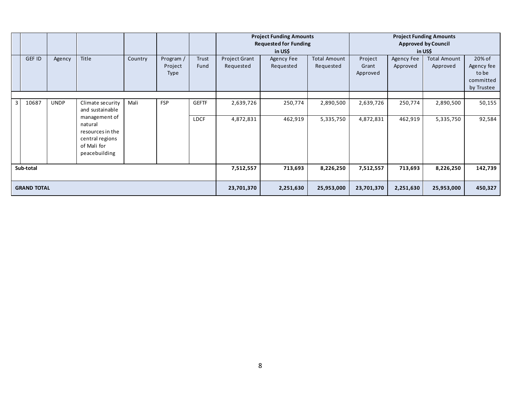|                    |        |             |                                                                                                 |            |                                     |               |                                   | <b>Project Funding Amounts</b><br><b>Requested for Funding</b><br>in US\$ |                                  | <b>Project Funding Amounts</b><br><b>Approved by Council</b><br>in US\$ |                        |                                 |                                                          |
|--------------------|--------|-------------|-------------------------------------------------------------------------------------------------|------------|-------------------------------------|---------------|-----------------------------------|---------------------------------------------------------------------------|----------------------------------|-------------------------------------------------------------------------|------------------------|---------------------------------|----------------------------------------------------------|
|                    | GEF ID | Agency      | Title                                                                                           | Country    | Program /<br>Project<br><b>Type</b> | Trust<br>Fund | <b>Project Grant</b><br>Requested | Agency Fee<br>Requested                                                   | <b>Total Amount</b><br>Requested | Project<br>Grant<br>Approved                                            | Agency Fee<br>Approved | <b>Total Amount</b><br>Approved | 20% of<br>Agency fee<br>to be<br>committed<br>by Trustee |
|                    |        |             |                                                                                                 |            |                                     |               |                                   |                                                                           |                                  |                                                                         |                        |                                 |                                                          |
| $\overline{3}$     | 10687  | <b>UNDP</b> | Climate security<br>and sustainable                                                             | Mali       | <b>FSP</b>                          | <b>GEFTF</b>  | 2,639,726                         | 250,774                                                                   | 2,890,500                        | 2,639,726                                                               | 250,774                | 2,890,500                       | 50,155                                                   |
|                    |        |             | management of<br>natural<br>resources in the<br>central regions<br>of Mali for<br>peacebuilding |            |                                     | <b>LDCF</b>   | 4,872,831                         | 462,919                                                                   | 5,335,750                        | 4,872,831                                                               | 462,919                | 5,335,750                       | 92,584                                                   |
| Sub-total          |        |             |                                                                                                 | 7,512,557  | 713,693                             | 8,226,250     | 7,512,557                         | 713,693                                                                   | 8,226,250                        | 142,739                                                                 |                        |                                 |                                                          |
| <b>GRAND TOTAL</b> |        |             |                                                                                                 | 23,701,370 | 2,251,630                           | 25,953,000    | 23,701,370                        | 2,251,630                                                                 | 25,953,000                       | 450,327                                                                 |                        |                                 |                                                          |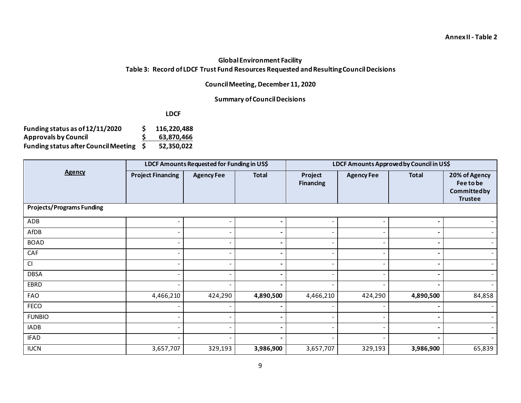# **Global Environment Facility Table 3: Record of LDCF Trust Fund Resources Requested and Resulting Council Decisions**

# **Council Meeting, December 11, 2020**

### **Summary of Council Decisions**

**LDCF**

| Funding status as of 12/11/2020         | 116,220,488 |
|-----------------------------------------|-------------|
| <b>Approvals by Council</b>             | 63,870,466  |
| Funding status after Council Meeting \$ | 52,350,022  |

|                                  |                          | LDCF Amounts Requested for Funding in US\$ |              |                             | LDCF Amounts Approved by Council in US\$ |                |                                                             |  |  |
|----------------------------------|--------------------------|--------------------------------------------|--------------|-----------------------------|------------------------------------------|----------------|-------------------------------------------------------------|--|--|
| <b>Agency</b>                    | <b>Project Financing</b> | <b>Agency Fee</b>                          | <b>Total</b> | Project<br><b>Financing</b> | <b>Agency Fee</b>                        | <b>Total</b>   | 20% of Agency<br>Fee to be<br>Committedby<br><b>Trustee</b> |  |  |
| <b>Projects/Programs Funding</b> |                          |                                            |              |                             |                                          |                |                                                             |  |  |
| ADB                              |                          |                                            |              |                             |                                          |                |                                                             |  |  |
| AfDB                             | $\overline{\phantom{a}}$ |                                            |              |                             |                                          | ٠              |                                                             |  |  |
| <b>BOAD</b>                      | $\overline{\phantom{a}}$ |                                            |              |                             |                                          | $\blacksquare$ |                                                             |  |  |
| CAF                              | $\overline{\phantom{a}}$ |                                            |              |                             |                                          |                |                                                             |  |  |
| CI                               |                          |                                            |              |                             |                                          |                | $\sim$                                                      |  |  |
| <b>DBSA</b>                      | $\overline{\phantom{a}}$ |                                            |              |                             |                                          |                | $\sim$                                                      |  |  |
| EBRD                             | $\overline{\phantom{a}}$ |                                            |              |                             |                                          |                |                                                             |  |  |
| FAO                              | 4,466,210                | 424,290                                    | 4,890,500    | 4,466,210                   | 424,290                                  | 4,890,500      | 84,858                                                      |  |  |
| <b>FECO</b>                      |                          |                                            |              |                             |                                          |                |                                                             |  |  |
| <b>FUNBIO</b>                    |                          |                                            |              |                             |                                          |                |                                                             |  |  |
| <b>IADB</b>                      |                          |                                            |              |                             |                                          |                |                                                             |  |  |
| <b>IFAD</b>                      |                          |                                            |              |                             |                                          |                |                                                             |  |  |
| <b>IUCN</b>                      | 3,657,707                | 329,193                                    | 3,986,900    | 3,657,707                   | 329,193                                  | 3,986,900      | 65,839                                                      |  |  |